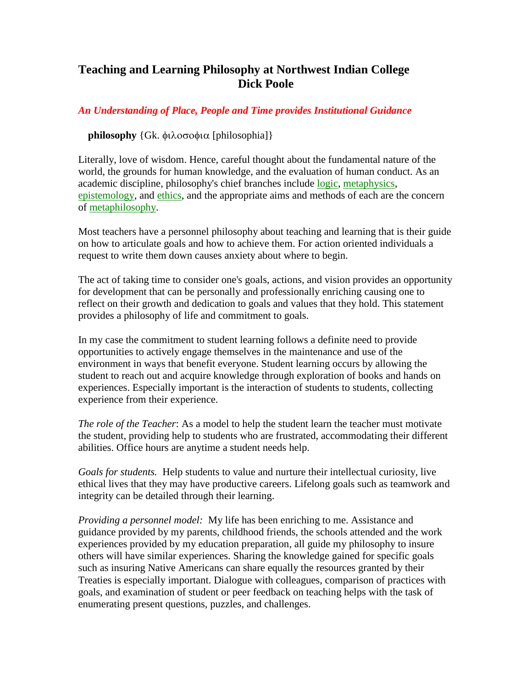# **Teaching and Learning Philosophy at Northwest Indian College Dick Poole**

## *An Understanding of Place, People and Time provides Institutional Guidance*

### **philosophy**  $\{Gk, \phi\}$   $\alpha$  [philosophia] $\}$

Literally, love of wisdom. Hence, careful thought about the fundamental nature of the world, the grounds for human knowledge, and the evaluation of human conduct. As an academic discipline, philosophy's chief branches include [logic,](http://www.philosophypages.com/dy/l5.htm#log) [metaphysics,](http://www.philosophypages.com/dy/m7.htm#mephy) [epistemology,](http://www.philosophypages.com/dy/e5.htm#epis) and [ethics,](http://www.philosophypages.com/dy/e9.htm#eth) and the appropriate aims and methods of each are the concern of [metaphilosophy.](http://www.philosophypages.com/dy/m7.htm#mephi)

Most teachers have a personnel philosophy about teaching and learning that is their guide on how to articulate goals and how to achieve them. For action oriented individuals a request to write them down causes anxiety about where to begin.

The act of taking time to consider one's goals, actions, and vision provides an opportunity for development that can be personally and professionally enriching causing one to reflect on their growth and dedication to goals and values that they hold. This statement provides a philosophy of life and commitment to goals.

In my case the commitment to student learning follows a definite need to provide opportunities to actively engage themselves in the maintenance and use of the environment in ways that benefit everyone. Student learning occurs by allowing the student to reach out and acquire knowledge through exploration of books and hands on experiences. Especially important is the interaction of students to students, collecting experience from their experience.

*The role of the Teacher*: As a model to help the student learn the teacher must motivate the student, providing help to students who are frustrated, accommodating their different abilities. Office hours are anytime a student needs help.

*Goals for students.* Help students to value and nurture their intellectual curiosity, live ethical lives that they may have productive careers. Lifelong goals such as teamwork and integrity can be detailed through their learning.

*Providing a personnel model:* My life has been enriching to me. Assistance and guidance provided by my parents, childhood friends, the schools attended and the work experiences provided by my education preparation, all guide my philosophy to insure others will have similar experiences. Sharing the knowledge gained for specific goals such as insuring Native Americans can share equally the resources granted by their Treaties is especially important. Dialogue with colleagues, comparison of practices with goals, and examination of student or peer feedback on teaching helps with the task of enumerating present questions, puzzles, and challenges.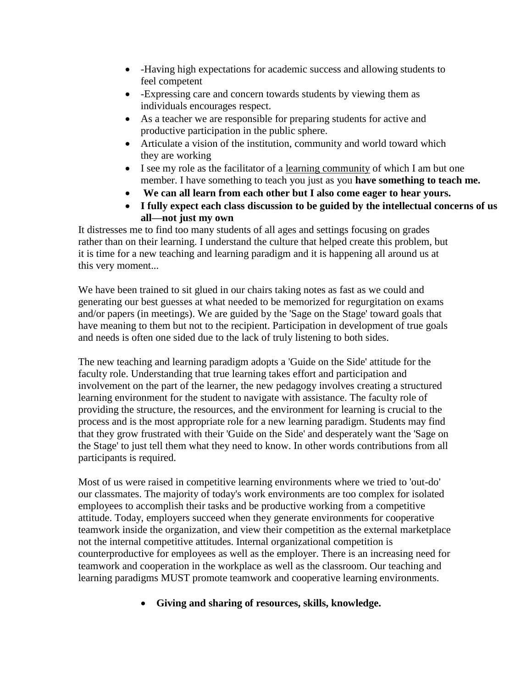- -Having high expectations for academic success and allowing students to feel competent
- -Expressing care and concern towards students by viewing them as individuals encourages respect.
- As a teacher we are responsible for preparing students for active and productive participation in the public sphere.
- Articulate a vision of the institution, community and world toward which they are working
- I see my role as the facilitator of a learning community of which I am but one member. I have something to teach you just as you **have something to teach me.**
- **We can all learn from each other but I also come eager to hear yours.**
- **I fully expect each class discussion to be guided by the intellectual concerns of us all—not just my own**

It distresses me to find too many students of all ages and settings focusing on grades rather than on their learning. I understand the culture that helped create this problem, but it is time for a new teaching and learning paradigm and it is happening all around us at this very moment...

We have been trained to sit glued in our chairs taking notes as fast as we could and generating our best guesses at what needed to be memorized for regurgitation on exams and/or papers (in meetings). We are guided by the 'Sage on the Stage' toward goals that have meaning to them but not to the recipient. Participation in development of true goals and needs is often one sided due to the lack of truly listening to both sides.

The new teaching and learning paradigm adopts a 'Guide on the Side' attitude for the faculty role. Understanding that true learning takes effort and participation and involvement on the part of the learner, the new pedagogy involves creating a structured learning environment for the student to navigate with assistance. The faculty role of providing the structure, the resources, and the environment for learning is crucial to the process and is the most appropriate role for a new learning paradigm. Students may find that they grow frustrated with their 'Guide on the Side' and desperately want the 'Sage on the Stage' to just tell them what they need to know. In other words contributions from all participants is required.

Most of us were raised in competitive learning environments where we tried to 'out-do' our classmates. The majority of today's work environments are too complex for isolated employees to accomplish their tasks and be productive working from a competitive attitude. Today, employers succeed when they generate environments for cooperative teamwork inside the organization, and view their competition as the external marketplace not the internal competitive attitudes. Internal organizational competition is counterproductive for employees as well as the employer. There is an increasing need for teamwork and cooperation in the workplace as well as the classroom. Our teaching and learning paradigms MUST promote teamwork and cooperative learning environments.

**Giving and sharing of resources, skills, knowledge.**